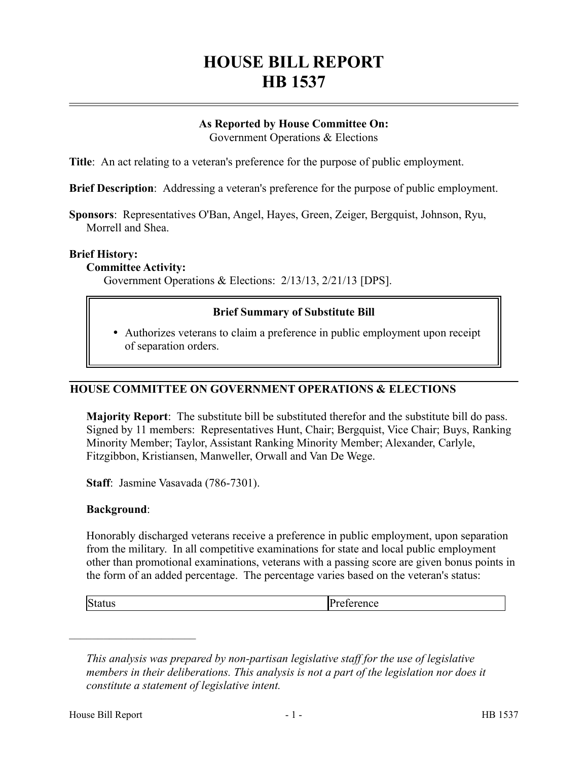# **HOUSE BILL REPORT HB 1537**

# **As Reported by House Committee On:**

Government Operations & Elections

**Title**: An act relating to a veteran's preference for the purpose of public employment.

**Brief Description**: Addressing a veteran's preference for the purpose of public employment.

**Sponsors**: Representatives O'Ban, Angel, Hayes, Green, Zeiger, Bergquist, Johnson, Ryu, Morrell and Shea.

#### **Brief History:**

#### **Committee Activity:**

Government Operations & Elections: 2/13/13, 2/21/13 [DPS].

## **Brief Summary of Substitute Bill**

 Authorizes veterans to claim a preference in public employment upon receipt of separation orders.

## **HOUSE COMMITTEE ON GOVERNMENT OPERATIONS & ELECTIONS**

**Majority Report**: The substitute bill be substituted therefor and the substitute bill do pass. Signed by 11 members: Representatives Hunt, Chair; Bergquist, Vice Chair; Buys, Ranking Minority Member; Taylor, Assistant Ranking Minority Member; Alexander, Carlyle, Fitzgibbon, Kristiansen, Manweller, Orwall and Van De Wege.

**Staff**: Jasmine Vasavada (786-7301).

#### **Background**:

Honorably discharged veterans receive a preference in public employment, upon separation from the military. In all competitive examinations for state and local public employment other than promotional examinations, veterans with a passing score are given bonus points in the form of an added percentage. The percentage varies based on the veteran's status:

––––––––––––––––––––––

Status Preference

*This analysis was prepared by non-partisan legislative staff for the use of legislative members in their deliberations. This analysis is not a part of the legislation nor does it constitute a statement of legislative intent.*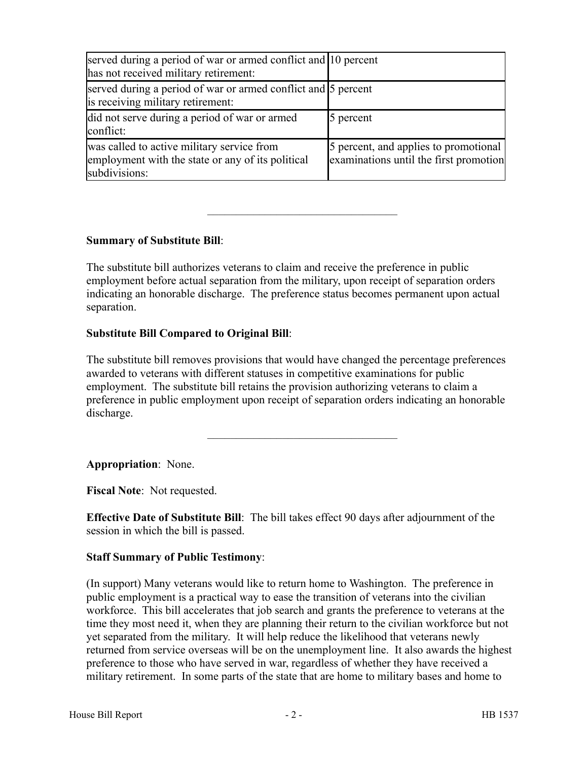| served during a period of war or armed conflict and 10 percent<br>has not received military retirement:          |                                                                                 |
|------------------------------------------------------------------------------------------------------------------|---------------------------------------------------------------------------------|
| served during a period of war or armed conflict and 5 percent<br>is receiving military retirement:               |                                                                                 |
| did not serve during a period of war or armed<br>conflict:                                                       | 5 percent                                                                       |
| was called to active military service from<br>employment with the state or any of its political<br>subdivisions: | 5 percent, and applies to promotional<br>examinations until the first promotion |

# **Summary of Substitute Bill**:

The substitute bill authorizes veterans to claim and receive the preference in public employment before actual separation from the military, upon receipt of separation orders indicating an honorable discharge. The preference status becomes permanent upon actual separation.

–––––––––––––––––––––––––––––––––

## **Substitute Bill Compared to Original Bill**:

The substitute bill removes provisions that would have changed the percentage preferences awarded to veterans with different statuses in competitive examinations for public employment. The substitute bill retains the provision authorizing veterans to claim a preference in public employment upon receipt of separation orders indicating an honorable discharge.

–––––––––––––––––––––––––––––––––

**Appropriation**: None.

**Fiscal Note**: Not requested.

**Effective Date of Substitute Bill**: The bill takes effect 90 days after adjournment of the session in which the bill is passed.

## **Staff Summary of Public Testimony**:

(In support) Many veterans would like to return home to Washington. The preference in public employment is a practical way to ease the transition of veterans into the civilian workforce. This bill accelerates that job search and grants the preference to veterans at the time they most need it, when they are planning their return to the civilian workforce but not yet separated from the military. It will help reduce the likelihood that veterans newly returned from service overseas will be on the unemployment line. It also awards the highest preference to those who have served in war, regardless of whether they have received a military retirement. In some parts of the state that are home to military bases and home to